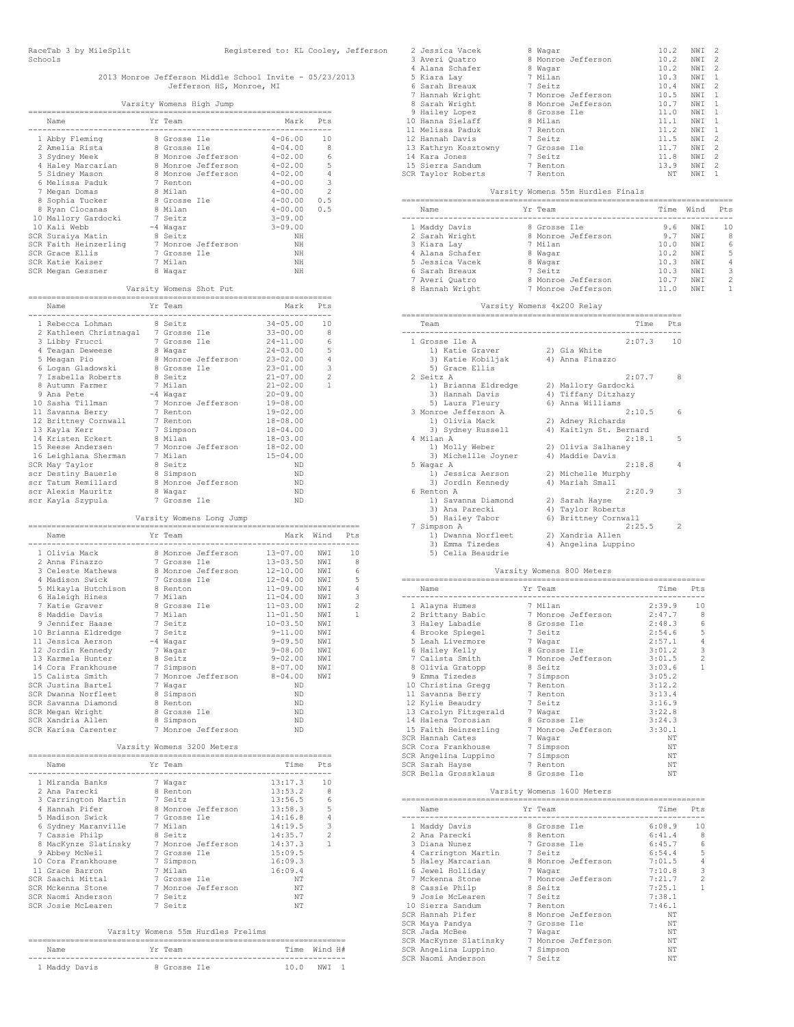# 2013 Monroe Jefferson Middle School Invite - 05/23/2013 Jefferson HS, Monroe, MI

|                                                                                                                                                                                                                                                         |                          | Varsity Womens High Jump   |                                                                                                           |                     |  |
|---------------------------------------------------------------------------------------------------------------------------------------------------------------------------------------------------------------------------------------------------------|--------------------------|----------------------------|-----------------------------------------------------------------------------------------------------------|---------------------|--|
| Name                                                                                                                                                                                                                                                    | Yr Team                  |                            | Mark Pts                                                                                                  |                     |  |
| 2 Amelia Rista and Scrosse Ile<br>2 Amelia Rista and Scrosse Ile<br>3 Sydney Meek 8 Monroe Jefferson<br>4 Haley Marcarian 8 Monroe Jefferson<br>5 Sidney Mason 8 Monroe Jefferson<br>6 Melissa Paduk 7 Renton<br>7 Megan Domas 8 Milan<br>8             |                          |                            | -------<br>$4 - 06.00$ 10                                                                                 |                     |  |
|                                                                                                                                                                                                                                                         |                          |                            | $4 - 04.00$                                                                                               | - 8                 |  |
|                                                                                                                                                                                                                                                         |                          |                            |                                                                                                           |                     |  |
|                                                                                                                                                                                                                                                         |                          |                            | $4-02.00$ 6<br>$4-02.00$ 6<br>$4-02.00$ 5<br>$4-02.00$ 4<br>$4-00.00$ 3<br>$4-00.00$ 0.5<br>$4-00.00$ 0.5 |                     |  |
|                                                                                                                                                                                                                                                         |                          |                            |                                                                                                           |                     |  |
|                                                                                                                                                                                                                                                         |                          |                            |                                                                                                           |                     |  |
|                                                                                                                                                                                                                                                         |                          |                            |                                                                                                           |                     |  |
|                                                                                                                                                                                                                                                         |                          |                            |                                                                                                           |                     |  |
|                                                                                                                                                                                                                                                         |                          |                            | $3 - 09.00$                                                                                               |                     |  |
|                                                                                                                                                                                                                                                         |                          |                            | $3 - 09.00$<br>NH                                                                                         |                     |  |
|                                                                                                                                                                                                                                                         |                          |                            | ΝH                                                                                                        |                     |  |
|                                                                                                                                                                                                                                                         |                          |                            | ΝH                                                                                                        |                     |  |
|                                                                                                                                                                                                                                                         |                          |                            | ΝH                                                                                                        |                     |  |
| % Nyan Clocanas<br>10 Mallory Gardocki<br>7 Seitz<br>10 Kali Webb 7 - Seitz<br>10 Kali Webb 7 - 4 Wagar<br>5CR Suraiya Matin 8 Seitz<br>5CR Garde Ellis<br>7 - Monroe Jefferson<br>5CR Grace Ellis<br>7 - Grosse Ile<br>5CR Katie Kaiser<br>7 Milan<br> |                          |                            | ΝH                                                                                                        |                     |  |
|                                                                                                                                                                                                                                                         |                          | Varsity Womens Shot Put    |                                                                                                           |                     |  |
|                                                                                                                                                                                                                                                         |                          |                            | Mark Pts<br>---------------                                                                               |                     |  |
| 1 Rebecca Lohman<br>2 Kathleen Christnagal 7 Grosse Ile 33-00.00<br>3 Libby Frucci 7 Grosse Ile 24-11.00<br>4 Teagan Devesee 8 Wayar 24-03.00<br>5 Meagan Dio 8 Mayar 24-03.00<br>6 Logan Gladowski 8 Grosse Ile 23-01.00<br>6 Logan Glado              |                          |                            |                                                                                                           |                     |  |
|                                                                                                                                                                                                                                                         |                          |                            | $\begin{array}{rr} 34\!-\!05\!.\,00 & 10 \\ 33\!-\!00\!.\,00 & 8 \end{array}$                             |                     |  |
|                                                                                                                                                                                                                                                         |                          |                            |                                                                                                           | - 6                 |  |
|                                                                                                                                                                                                                                                         |                          |                            |                                                                                                           | -5                  |  |
|                                                                                                                                                                                                                                                         |                          |                            |                                                                                                           | $\overline{4}$      |  |
|                                                                                                                                                                                                                                                         |                          |                            |                                                                                                           | 3<br>$\overline{2}$ |  |
|                                                                                                                                                                                                                                                         |                          |                            |                                                                                                           | 1                   |  |
|                                                                                                                                                                                                                                                         |                          |                            |                                                                                                           |                     |  |
|                                                                                                                                                                                                                                                         |                          |                            |                                                                                                           |                     |  |
|                                                                                                                                                                                                                                                         |                          |                            |                                                                                                           |                     |  |
|                                                                                                                                                                                                                                                         |                          |                            |                                                                                                           |                     |  |
|                                                                                                                                                                                                                                                         |                          |                            |                                                                                                           |                     |  |
|                                                                                                                                                                                                                                                         |                          |                            |                                                                                                           |                     |  |
|                                                                                                                                                                                                                                                         |                          |                            |                                                                                                           |                     |  |
|                                                                                                                                                                                                                                                         |                          |                            |                                                                                                           |                     |  |
|                                                                                                                                                                                                                                                         |                          |                            |                                                                                                           |                     |  |
|                                                                                                                                                                                                                                                         |                          |                            | ND                                                                                                        |                     |  |
|                                                                                                                                                                                                                                                         |                          |                            | ND                                                                                                        |                     |  |
| 16 Leighlana Suerman:<br>SCR May Taylor<br>SCC Destiny Bauerle<br>SCC Destiny Bauerle<br>SCC Tatum Remillard<br>SCC Talexis Mauritz<br>SCC Nagar<br>SCC Nagar<br>SCC Nagar<br>SCC Nagar<br>Termina Termina Termina Termina Termina Termina Termina      |                          |                            | ΝD                                                                                                        |                     |  |
|                                                                                                                                                                                                                                                         |                          | Varsity Womens Long Jump   |                                                                                                           |                     |  |
| Name                                                                                                                                                                                                                                                    | Yr Team                  |                            | Mark Wind Pts                                                                                             |                     |  |
|                                                                                                                                                                                                                                                         |                          |                            |                                                                                                           |                     |  |
|                                                                                                                                                                                                                                                         |                          |                            |                                                                                                           |                     |  |
|                                                                                                                                                                                                                                                         |                          |                            |                                                                                                           |                     |  |
|                                                                                                                                                                                                                                                         |                          |                            |                                                                                                           |                     |  |
|                                                                                                                                                                                                                                                         |                          |                            |                                                                                                           |                     |  |
|                                                                                                                                                                                                                                                         |                          |                            |                                                                                                           |                     |  |
|                                                                                                                                                                                                                                                         |                          |                            |                                                                                                           |                     |  |
|                                                                                                                                                                                                                                                         |                          |                            |                                                                                                           |                     |  |
|                                                                                                                                                                                                                                                         |                          |                            |                                                                                                           |                     |  |
|                                                                                                                                                                                                                                                         |                          |                            |                                                                                                           |                     |  |
| 2 Anna Eineachas (1971)<br>2 Anna Finazzo (1971)<br>2 Anna Finazzo (1976)<br>2 Anna Finazzo (1976)<br>2 Anna Finazzo (1976)<br>2 Anna Finazzo (1976)<br>2 Anna Finazzo (1976)<br>2 Anna Madison (1976)<br>2 Anna Madison (1976)<br>2 Anna Madiso        |                          |                            |                                                                                                           |                     |  |
|                                                                                                                                                                                                                                                         |                          |                            |                                                                                                           |                     |  |
| 15 Calista Smith                                                                                                                                                                                                                                        |                          | 7 Monroe Jefferson         | 8-04.00 NWI                                                                                               |                     |  |
| SCR Justina Bartel                                                                                                                                                                                                                                      | 7 Wagar                  |                            | ΝD                                                                                                        |                     |  |
| SCR Dwanna Norfleet                                                                                                                                                                                                                                     | 8 Simpson                |                            | ΝD                                                                                                        |                     |  |
| SCR Savanna Diamond<br>SCR Megan Wright                                                                                                                                                                                                                 | 8 Renton<br>8 Grosse Ile |                            | ΝD<br>ΝD                                                                                                  |                     |  |
| SCR Xandria Allen                                                                                                                                                                                                                                       | 8 Simpson                |                            | ΝD                                                                                                        |                     |  |
| SCR Karisa Carenter                                                                                                                                                                                                                                     |                          | 7 Monroe Jefferson         | ND                                                                                                        |                     |  |
|                                                                                                                                                                                                                                                         |                          | Varsity Womens 3200 Meters |                                                                                                           |                     |  |
| Name                                                                                                                                                                                                                                                    | Yr Team                  |                            | Time Pts                                                                                                  |                     |  |
| 1 Miranda Banks<br>2 Ana Parecki                                                                                                                                                                                                                        | 7 Wagar                  |                            | $13:17.3$ 10                                                                                              |                     |  |
|                                                                                                                                                                                                                                                         | 8 Renton                 |                            | 13:53.2                                                                                                   | $_{8}$              |  |
| 3 Carrington Martin 7 Seitz                                                                                                                                                                                                                             |                          |                            | 13:56.5                                                                                                   | 6                   |  |
| 3 Carrington<br>4 Hannah Pifer<br>11 Martink                                                                                                                                                                                                            |                          | 8 Monroe Jefferson         | 13:58.3                                                                                                   | 5<br>$\overline{4}$ |  |
| 5 Madison Swick                                                                                                                                                                                                                                         |                          | 7 Grosse Ile               | 14:16.8<br>14:19.5                                                                                        | 3                   |  |
| 6 Sydney Maranville 3 Milan<br>7 Cassie Philp 3 Seitz<br>7 Cassie Philp                                                                                                                                                                                 |                          |                            | 14:35.7                                                                                                   | $\overline{2}$      |  |
|                                                                                                                                                                                                                                                         |                          |                            | 14:37.3                                                                                                   | 1                   |  |
| 9 Abbey McNeil<br>10 Cora Frankhouse                                                                                                                                                                                                                    |                          |                            | 15:09.5                                                                                                   |                     |  |
|                                                                                                                                                                                                                                                         | 7 Simpson                |                            | 16:09.3                                                                                                   |                     |  |
| 11 Grace Barron                                                                                                                                                                                                                                         | 7 Milan                  |                            | 16:09.4                                                                                                   |                     |  |

| Y UNNEA MOMETT     | I GLUDDE LLE |                                    | 10.VJ.J |  |
|--------------------|--------------|------------------------------------|---------|--|
| 10 Cora Frankhouse | 7 Simpson    |                                    | 16:09.3 |  |
| 11 Grace Barron    | 7 Milan      |                                    | 16:09.4 |  |
| SCR Saachi Mittal  | 7 Grosse Ile |                                    | NΤ      |  |
| SCR Mckenna Stone  |              | 7 Monroe Jefferson                 | NΤ      |  |
| SCR Naomi Anderson | 7 Seitz      |                                    | NΤ      |  |
| SCR Josie McLearen | 7 Seitz      |                                    | NΤ      |  |
|                    |              |                                    |         |  |
|                    |              |                                    |         |  |
|                    |              | Varsity Womens 55m Hurdles Prelims |         |  |

|               | valsity womens som nurules rieilms |              |  |              |       |  |
|---------------|------------------------------------|--------------|--|--------------|-------|--|
|               |                                    |              |  |              |       |  |
| Name          |                                    | Yr Team      |  | Time Wind H# |       |  |
| 1 Maddy Davis |                                    | 8 Grosse Ile |  | 10.0         | NWT 1 |  |

|  | 2 Jessica Vacek      | 8 Waqar      |                    | 10.2 | NWI | -2             |
|--|----------------------|--------------|--------------------|------|-----|----------------|
|  | 3 Averi Quatro       |              | 8 Monroe Jefferson | 10.2 | NWI | -2             |
|  | 4 Alana Schafer      | 8 Waqar      |                    | 10.2 | NWI | 2              |
|  | 5 Kiara Lay          | 7 Milan      |                    | 10.3 | NWI | $\overline{1}$ |
|  | 6 Sarah Breaux       | 7 Seitz      |                    | 10.4 | NWI | -2             |
|  | 7 Hannah Wright      |              | 7 Monroe Jefferson | 10.5 | NWI | $\overline{1}$ |
|  | 8 Sarah Wright       |              | 8 Monroe Jefferson | 10.7 | NWI | $\overline{1}$ |
|  | 9 Hailey Lopez       | 8 Grosse Ile |                    | 11.0 | NWI | $\overline{1}$ |
|  | 10 Hanna Sielaff     | 8 Milan      |                    | 11.1 | NWI | $\overline{1}$ |
|  | 11 Melissa Paduk     | 7 Renton     |                    | 11.2 | NWI | $\overline{1}$ |
|  | 12 Hannah Davis      | 7 Seitz      |                    | 11.5 | NWI | 2              |
|  | 13 Kathryn Kosztowny | 7 Grosse Ile |                    | 11.7 | NWI | 2              |
|  | 14 Kara Jones        | 7 Seitz      |                    | 11.8 | NWI | 2              |
|  | 15 Sierra Sandum     | 7 Renton     |                    | 13.9 | NWI | 2              |
|  | SCR Taylor Roberts   | 7 Renton     |                    | NΤ   | NWI | $\mathbf{1}$   |
|  |                      |              |                    |      |     |                |

### Varsity Womens 55m Hurdles Finals

| Name            | Yr Team      |                    | Time | Wind            | Pt.s |
|-----------------|--------------|--------------------|------|-----------------|------|
| 1 Maddy Davis   | 8 Grosse Ile |                    | 9.6  | NW <sub>T</sub> | 10   |
| 2 Sarah Wright  |              | 8 Monroe Jefferson | 9.7  | NW T            | 8    |
| 3 Kiara Lay     | 7 Milan      |                    | 10.0 | NW T            | 6    |
| 4 Alana Schafer | 8 Waqar      |                    | 10.2 | NW T            | 5    |
| 5 Jessica Vacek | 8 Waqar      |                    | 10.3 | NW T            | 4    |
| 6 Sarah Breaux  | 7 Seitz      |                    | 10.3 | NW T            | 3.   |
| 7 Averi Quatro  |              | 8 Monroe Jefferson | 10.7 | NW T            | 2    |
| 8 Hannah Wright |              | 7 Monroe Jefferson | 11 N | NM <sub>T</sub> |      |

| Varsity Womens 4x200 Relay |  |                        |      |  |  |  |  |  |  |  |  |
|----------------------------|--|------------------------|------|--|--|--|--|--|--|--|--|
| Team                       |  | Time                   | Pt.s |  |  |  |  |  |  |  |  |
| 1 Grosse Ile A             |  | 2:07.3                 | 10   |  |  |  |  |  |  |  |  |
| 1) Katie Graver            |  | 2) Gia White           |      |  |  |  |  |  |  |  |  |
| 3) Katie Kobiljak          |  | 4) Anna Finazzo        |      |  |  |  |  |  |  |  |  |
| 5) Grace Ellis             |  |                        |      |  |  |  |  |  |  |  |  |
| 2 Seitz A                  |  | 2:07.7                 | 8    |  |  |  |  |  |  |  |  |
| 1) Brianna Eldredge        |  | 2) Mallory Gardocki    |      |  |  |  |  |  |  |  |  |
| 3) Hannah Davis            |  | 4) Tiffany Ditzhazy    |      |  |  |  |  |  |  |  |  |
| 5) Laura Fleury            |  | 6) Anna Williams       |      |  |  |  |  |  |  |  |  |
| 3 Monroe Jefferson A       |  | 2:10.5                 | 6    |  |  |  |  |  |  |  |  |
| 1) Olivia Mack             |  | 2) Adney Richards      |      |  |  |  |  |  |  |  |  |
| 3) Sydney Russell          |  | 4) Kaitlyn St. Bernard |      |  |  |  |  |  |  |  |  |
| 4 Milan A                  |  | 2:18.1                 | 5    |  |  |  |  |  |  |  |  |
| 1) Molly Weber             |  | 2) Olivia Salhaney     |      |  |  |  |  |  |  |  |  |
| 3) Michellle Joyner        |  | 4) Maddie Davis        |      |  |  |  |  |  |  |  |  |
| 5 Waqar A                  |  | 2:18.8                 | 4    |  |  |  |  |  |  |  |  |
| 1) Jessica Aerson          |  | 2) Michelle Murphy     |      |  |  |  |  |  |  |  |  |
| 3) Jordin Kennedy          |  | 4) Mariah Small        |      |  |  |  |  |  |  |  |  |
| 6 Renton A                 |  | 2:20.9                 | 3    |  |  |  |  |  |  |  |  |
| 1) Savanna Diamond         |  | 2) Sarah Hayse         |      |  |  |  |  |  |  |  |  |
| 3) Ana Parecki             |  | 4) Taylor Roberts      |      |  |  |  |  |  |  |  |  |
| 5) Hailey Tabor            |  | 6) Brittney Cornwall   |      |  |  |  |  |  |  |  |  |
| 7 Simpson A                |  | 2:25.5                 | 2    |  |  |  |  |  |  |  |  |
| 1) Dwanna Norfleet         |  | 2) Xandria Allen       |      |  |  |  |  |  |  |  |  |
| 3) Emma Tizedes            |  | 4) Angelina Luppino    |      |  |  |  |  |  |  |  |  |
| 5) Celia Beaudrie          |  |                        |      |  |  |  |  |  |  |  |  |

## Varsity Womens 800 Meters

| Name                                           | Yr Team            | Time   | Pts            |
|------------------------------------------------|--------------------|--------|----------------|
|                                                |                    |        |                |
| 1 Alayna Humes                                 | 7 Milan            | 2:39.9 | 10             |
| 2 Brittany Babic 3 Monroe Jefferson 2:47.7     |                    |        | 8              |
| 3 Haley Labadie                                | 8 Grosse Ile       | 2:48.3 | 6              |
| 4 Brooke Spiegel 3 7 Seitz                     |                    | 2:54.6 | 5              |
| 5 Leah Livermore                               | 7 Waqar            | 2:57.1 | $\overline{4}$ |
| 6 Hailey Kelly                                 | 8 Grosse Ile       | 3:01.2 | 3              |
| 7 Calista Smith                                | 7 Monroe Jefferson | 3:01.5 | $\mathfrak{D}$ |
| 8 Olivia Gratopp                               | 8 Seitz            | 3:03.6 | 1              |
| 9 Emma Tizedes                                 | 7 Simpson          | 3:05.2 |                |
| 10 Christina Gregg and 7 Renton                |                    | 3:12.2 |                |
| 11 Savanna Berry 7 Renton                      |                    | 3:13.4 |                |
| 12 Kylie Beaudry 1 Seitz                       |                    | 3:16.9 |                |
| 13 Carolyn Fitzgerald 7 Wagar                  |                    | 3:22.8 |                |
| 14 Halena Torosian 8 Grosse Ile                |                    | 3:24.3 |                |
| 15 Faith Heinzerling 7 Monroe Jefferson 3:30.1 |                    |        |                |
| SCR Hannah Cates                               | 7 Waqar            | NΤ     |                |
| SCR Cora Frankhouse 7 Simpson                  |                    | NΤ     |                |
| SCR Angelina Luppino 7 Simpson                 |                    | NΤ     |                |
| SCR Sarah Hayse                                | 7 Renton           | NΤ     |                |
| SCR Bella Grossklaus                           | 8 Grosse Ile       | NΤ     |                |

| Varsity Womens 1600 Meters                  |  |                             |            |                |  |  |  |  |  |  |  |
|---------------------------------------------|--|-----------------------------|------------|----------------|--|--|--|--|--|--|--|
| Name                                        |  | Yr Team                     | Time       | Pts            |  |  |  |  |  |  |  |
| 1 Maddy Davis                               |  | 8 Grosse Ile                | 6:08.9     | 10             |  |  |  |  |  |  |  |
| 2 Ana Parecki                               |  | 8 Renton                    | $6:41.4$ 8 |                |  |  |  |  |  |  |  |
| 3 Diana Nunez                               |  | and the Table of Grosse Ile | 6:45.7     | 6              |  |  |  |  |  |  |  |
| 4 Carrington Martin 7 Seitz                 |  |                             | 6:54.4     | 5              |  |  |  |  |  |  |  |
| 5 Haley Marcarian 8 Monroe Jefferson 7:01.5 |  |                             |            | $\overline{4}$ |  |  |  |  |  |  |  |
| 6 Jewel Holliday 7 Wagar                    |  |                             | 7:10.8     | 3              |  |  |  |  |  |  |  |
| 7 Mckenna Stone                             |  | 7 Monroe Jefferson          | 7:21.7     | $\overline{c}$ |  |  |  |  |  |  |  |
| 8 Cassie Philp                              |  | 8 Seitz                     | 7:25.1     | 1              |  |  |  |  |  |  |  |
| 9 Josie McLearen<br>2. Seitz                |  |                             | 7:38.1     |                |  |  |  |  |  |  |  |
| 10 Sierra Sandum                            |  | 7 Renton                    | 7:46.1     |                |  |  |  |  |  |  |  |
| SCR Hannah Pifer                            |  | 8 Monroe Jefferson          | NΤ         |                |  |  |  |  |  |  |  |
| SCR Maya Pandya                             |  | 7 Grosse Ile                | NΤ         |                |  |  |  |  |  |  |  |
| SCR Jada McBee                              |  | 7 Waqar                     | NΤ         |                |  |  |  |  |  |  |  |
| SCR MacKynze Slatinsky 7 Monroe Jefferson   |  |                             | NΤ         |                |  |  |  |  |  |  |  |
| SCR Angelina Luppino 1 Simpson              |  |                             | NΤ         |                |  |  |  |  |  |  |  |
| SCR Naomi Anderson 7 Seitz                  |  |                             | NΤ         |                |  |  |  |  |  |  |  |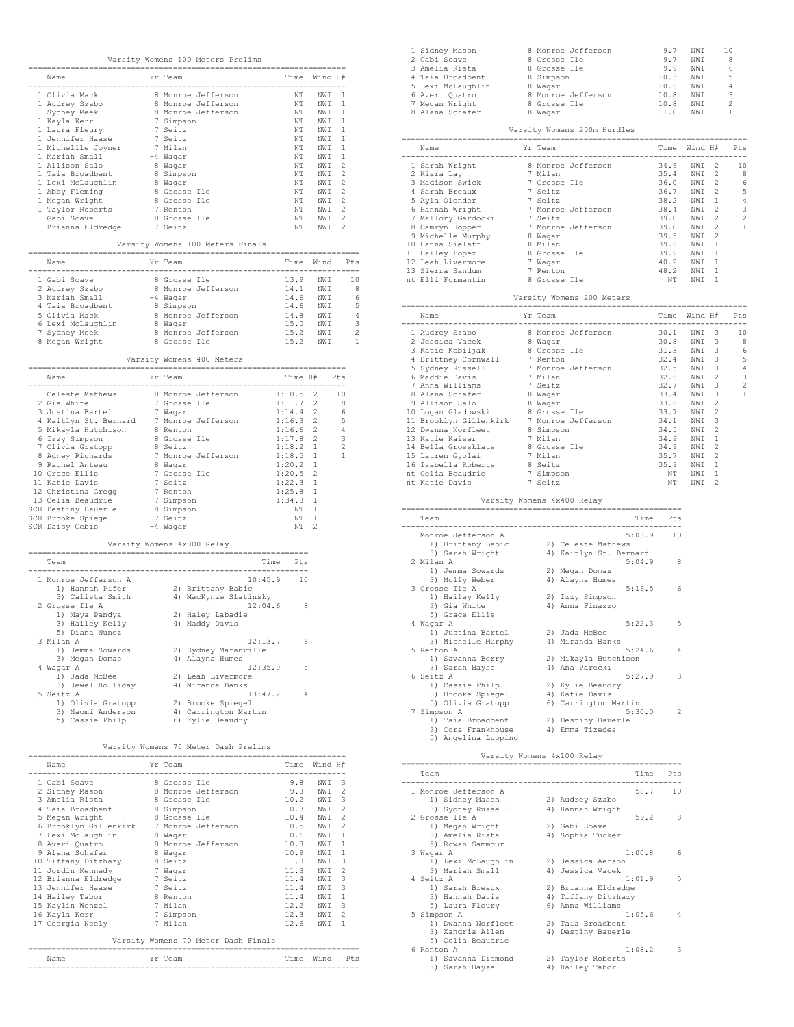|                                                                                                                                                                                   |                            |                                                              |                                          | Varsity Womens 100 Meters Prelims          |                            |                                                                                                                          |                |
|-----------------------------------------------------------------------------------------------------------------------------------------------------------------------------------|----------------------------|--------------------------------------------------------------|------------------------------------------|--------------------------------------------|----------------------------|--------------------------------------------------------------------------------------------------------------------------|----------------|
| Name                                                                                                                                                                              |                            | Yr Team                                                      |                                          |                                            |                            | Time Wind H#                                                                                                             |                |
| 1 Olivia Mack<br>8 Monroe Jefferson                                                                                                                                               |                            |                                                              |                                          |                                            |                            |                                                                                                                          |                |
|                                                                                                                                                                                   |                            |                                                              | 8 Monroe Jefferson<br>8 Monroe Jefferson |                                            |                            | $\begin{tabular}{cc} NT & NWI & 1 \\ NT & NWI & 1 \\ \end{tabular}$                                                      |                |
|                                                                                                                                                                                   |                            |                                                              |                                          |                                            |                            | NT NWI 1                                                                                                                 |                |
| 1 Audrey Szabo<br>1 Sydney Meek<br>1 Kayla Kerr<br>1 Laura Fleury                                                                                                                 |                            | 7 Simpson<br>7 Seitz<br>7 Seitz<br>7 Seitz                   |                                          |                                            |                            | WE WELL<br>NT NWI 1<br>NT NWI 1<br>NT NWI 1<br>NT NWI 2<br>NT NWI 2<br>NT NWI 2<br>NT NWI 2<br>NT NWI 2                  |                |
|                                                                                                                                                                                   |                            |                                                              |                                          |                                            |                            |                                                                                                                          |                |
|                                                                                                                                                                                   |                            |                                                              |                                          |                                            |                            |                                                                                                                          |                |
|                                                                                                                                                                                   |                            |                                                              |                                          |                                            |                            |                                                                                                                          |                |
|                                                                                                                                                                                   |                            |                                                              |                                          |                                            |                            |                                                                                                                          |                |
|                                                                                                                                                                                   |                            | 8 Simpson                                                    |                                          |                                            |                            |                                                                                                                          |                |
|                                                                                                                                                                                   |                            | % Simpson<br>8 Grosse Ile<br>8 Grosse Ile<br>7 Renton<br>0 G |                                          |                                            |                            | NT NWI 2                                                                                                                 |                |
| 1 Abby Fleming<br>1 Megan Wright<br>1 Taylor Roberts<br>1 Gabi Soave                                                                                                              |                            |                                                              |                                          |                                            |                            | NT NWI 2<br>NT NWI 2                                                                                                     |                |
|                                                                                                                                                                                   |                            |                                                              |                                          |                                            |                            |                                                                                                                          |                |
|                                                                                                                                                                                   |                            | 8 Grosse Ile                                                 |                                          |                                            |                            | $\begin{tabular}{ccc} NT & NWI & 2 \\ NT & NWI & 2 \\ NT & NWI & 2 \\ NT & NWI & 2 \end{tabular}$                        |                |
| 1 Brianna Eldredge 7 Seitz                                                                                                                                                        |                            |                                                              |                                          |                                            |                            |                                                                                                                          |                |
|                                                                                                                                                                                   |                            |                                                              |                                          | Varsity Womens 100 Meters Finals           |                            |                                                                                                                          |                |
| Name                                                                                                                                                                              |                            | Yr Team                                                      |                                          |                                            |                            | Time Wind Pts                                                                                                            |                |
|                                                                                                                                                                                   |                            |                                                              |                                          |                                            |                            | 13.9 NWI<br>14.1 NWI 8<br>14.6 NWI 6<br>14.6 NWI 6<br>14.6 NWI 5<br>14.8 NWI 4<br>15.0 NWI 3<br>15.2 NWI 2<br>15.2 NWI 2 |                |
|                                                                                                                                                                                   |                            |                                                              |                                          |                                            |                            |                                                                                                                          |                |
|                                                                                                                                                                                   |                            |                                                              |                                          |                                            |                            |                                                                                                                          |                |
|                                                                                                                                                                                   |                            |                                                              |                                          |                                            |                            |                                                                                                                          |                |
|                                                                                                                                                                                   |                            |                                                              |                                          |                                            |                            |                                                                                                                          |                |
|                                                                                                                                                                                   |                            |                                                              |                                          |                                            |                            |                                                                                                                          |                |
| 8 Megan Wright                                                                                                                                                                    |                            |                                                              |                                          |                                            |                            | 15.2 NWI                                                                                                                 | $\overline{1}$ |
|                                                                                                                                                                                   |                            |                                                              | Varsity Womens 400 Meters                |                                            |                            |                                                                                                                          |                |
| Name                                                                                                                                                                              |                            | Yr Team                                                      |                                          |                                            |                            | Time H# Pts                                                                                                              |                |
|                                                                                                                                                                                   | .                          |                                                              |                                          |                                            | .                          |                                                                                                                          |                |
|                                                                                                                                                                                   |                            |                                                              |                                          |                                            |                            |                                                                                                                          |                |
|                                                                                                                                                                                   |                            |                                                              |                                          |                                            |                            |                                                                                                                          |                |
|                                                                                                                                                                                   |                            |                                                              |                                          |                                            |                            |                                                                                                                          |                |
|                                                                                                                                                                                   |                            |                                                              |                                          |                                            |                            |                                                                                                                          |                |
|                                                                                                                                                                                   |                            |                                                              |                                          |                                            |                            |                                                                                                                          |                |
|                                                                                                                                                                                   |                            |                                                              |                                          |                                            |                            |                                                                                                                          |                |
|                                                                                                                                                                                   |                            |                                                              |                                          |                                            |                            |                                                                                                                          |                |
|                                                                                                                                                                                   |                            |                                                              |                                          |                                            |                            |                                                                                                                          |                |
| 10 Grace Ellis<br>11 Katie Davis                                                                                                                                                  |                            |                                                              | 7 Grosse Ile                             |                                            | 1:20.5                     | - 2                                                                                                                      |                |
|                                                                                                                                                                                   |                            | 7 Seitz                                                      |                                          |                                            | $1:22.3$ 1                 |                                                                                                                          |                |
|                                                                                                                                                                                   |                            |                                                              |                                          |                                            | $1:25.8$ 1<br>$1:34.8$ 1   |                                                                                                                          |                |
|                                                                                                                                                                                   |                            |                                                              |                                          |                                            | NT 1                       |                                                                                                                          |                |
| 12 Christina Gregg 7 Seitz<br>12 Christina Gregg 7 Renton<br>13 Celia Beaudrie 7 Simpson<br>SCR Destiny Bauerle 8 Simpson<br>SCR Brooke Spiegel 7 Seitz<br>SCR Daisy Gebis 4 Word |                            |                                                              |                                          |                                            | NT 1                       |                                                                                                                          |                |
| SCR Daisy Gebis                                                                                                                                                                   |                            | -4 Wagar                                                     |                                          |                                            | NT 2                       |                                                                                                                          |                |
|                                                                                                                                                                                   | Varsity Womens 4x800 Relay |                                                              |                                          |                                            |                            |                                                                                                                          |                |
| Team                                                                                                                                                                              |                            |                                                              |                                          |                                            | Time Pts<br>-------------- |                                                                                                                          |                |
| 1 Monroe Jefferson A                                                                                                                                                              |                            |                                                              |                                          | 10:45.9                                    | 10                         |                                                                                                                          |                |
| 1) Hannah Pifer                                                                                                                                                                   |                            |                                                              |                                          | 2) Brittany Babic<br>4) MacKynze Slatinsky |                            |                                                                                                                          |                |
| 3) Calista Smith                                                                                                                                                                  |                            |                                                              |                                          |                                            |                            |                                                                                                                          |                |
| 2 Grosse Ile A                                                                                                                                                                    |                            |                                                              |                                          | 12:04.6                                    | - 8                        |                                                                                                                          |                |
| 1) Maya Pandya<br>3) Hailey Kelly                                                                                                                                                 |                            |                                                              | 2) Haley Labadie<br>4) Maddy Davis       |                                            |                            |                                                                                                                          |                |
| 5) Diana Nunez                                                                                                                                                                    |                            |                                                              |                                          |                                            |                            |                                                                                                                          |                |
| 3 Milan A                                                                                                                                                                         |                            |                                                              |                                          | 12:13.7                                    | - 6                        |                                                                                                                          |                |
|                                                                                                                                                                                   |                            |                                                              |                                          | 2) Sydney Maranville                       |                            |                                                                                                                          |                |
| 1) Jemma Sowards<br>3) Megan Domas                                                                                                                                                |                            |                                                              | 4) Alayna Humes                          |                                            |                            |                                                                                                                          |                |
| 4 Waqar A                                                                                                                                                                         |                            |                                                              |                                          | 12:35.0                                    | 5                          |                                                                                                                          |                |
| 1) Jada McBee                                                                                                                                                                     |                            |                                                              | 2) Leah Livermore                        |                                            |                            |                                                                                                                          |                |
| 5 Seitz A                                                                                                                                                                         |                            |                                                              |                                          | 13:47.2                                    | -4                         |                                                                                                                          |                |
|                                                                                                                                                                                   |                            |                                                              |                                          |                                            |                            |                                                                                                                          |                |
| 1) Olivia Gratopp 2) Brooke Spiegel<br>3) Naomi Anderson 4) Carrington Mar<br>5) Cassie Philp 6) Kylie Beaudry                                                                    |                            |                                                              |                                          | 4) Carrington Martin                       |                            |                                                                                                                          |                |
|                                                                                                                                                                                   |                            |                                                              |                                          |                                            |                            |                                                                                                                          |                |
|                                                                                                                                                                                   |                            |                                                              |                                          | Varsity Womens 70 Meter Dash Prelims       |                            |                                                                                                                          |                |
| Name                                                                                                                                                                              |                            | Yr Team                                                      |                                          |                                            |                            | Time Wind H#                                                                                                             |                |
|                                                                                                                                                                                   |                            |                                                              |                                          |                                            |                            | 9.8 NWI 3                                                                                                                |                |
|                                                                                                                                                                                   |                            |                                                              |                                          |                                            |                            | 9.8 NWI 2                                                                                                                |                |
|                                                                                                                                                                                   |                            |                                                              |                                          |                                            |                            | 10.2 NWI 3                                                                                                               |                |
|                                                                                                                                                                                   |                            |                                                              |                                          |                                            |                            | 10.3 NWI 2                                                                                                               |                |
|                                                                                                                                                                                   |                            |                                                              |                                          |                                            |                            |                                                                                                                          |                |

| 2 Sidney Mason                             |         | 8 Monroe Jefferson 9.8              |           | NWI   | - 2            | 1 |
|--------------------------------------------|---------|-------------------------------------|-----------|-------|----------------|---|
|                                            |         |                                     |           | NWI 3 |                |   |
| 4 Taia Broadbent 8 Simpson                 |         |                                     | 10.3      | NWI   | $\overline{2}$ |   |
| 5 Megan Wright                             |         | 8 Grosse Ile                        | 10.4      | NWI   | - 2            | 2 |
| 6 Brooklyn Gillenkirk - 7 Monroe Jefferson |         |                                     | 10.5      | NWI   | - 2            |   |
| 7 Lexi McLaughlin                          | 8 Waqar |                                     | 10.6      | NWI   | $\overline{1}$ |   |
| 8 Averi Quatro 8 Monroe Jefferson          |         |                                     | 10.8      | NWI   | $\overline{1}$ |   |
| 9 Alana Schafer 8 Waqar                    |         |                                     | 10.9      | NWI   | $\overline{1}$ |   |
| 10 Tiffany Ditzhazy 8 Seitz                |         |                                     | 11.0      | NWI   | - 3            |   |
| 11 Jordin Kennedy 7 Wagar                  |         |                                     | 11.3      | NWI   | - 2            |   |
| 12 Brianna Eldredge 7 Seitz                |         |                                     | 11.4      | NWI   | - 3            | 4 |
| 13 Jennifer Haase 7 Seitz                  |         |                                     | 11.4      | NWI   | - 3            |   |
| 14 Hailey Tabor 8 Renton                   |         |                                     | 11.4      | NWI   | $\overline{1}$ |   |
| 15 Kaylin Wenzel 7 Milan                   |         |                                     | 12.2      | NWI   | - 3            |   |
| 16 Kayla Kerr 7 Simpson                    |         |                                     | 12.3      | NWI   | $\overline{2}$ | 5 |
| 17 Georgia Neely                           | 7 Milan |                                     | 12.6      | NWI 1 |                |   |
|                                            |         |                                     |           |       |                |   |
|                                            |         | Varsity Womens 70 Meter Dash Finals |           |       |                |   |
|                                            |         | ---------------------------         |           |       |                | Е |
| Name                                       | Yr Team |                                     | Time Wind |       | Pts            |   |
|                                            |         |                                     |           |       |                |   |

| 1 Sidney Mason    |   | 8 Monroe Jefferson | 9.7  | NW <sub>T</sub> | 10             |
|-------------------|---|--------------------|------|-----------------|----------------|
| 2 Gabi Soave      |   | 8 Grosse Ile       | 9.7  | NWI             | 8              |
| 3 Amelia Rista    |   | 8 Grosse Ile       | 9.9  | NW T            | 6              |
| 4 Taia Broadbent  |   | 8 Simpson          | 10.3 | NWI             | 5              |
| 5 Lexi McLaughlin |   | 8 Waqar            | 10.6 | NWI             | 4              |
| 6 Averi Quatro    |   | 8 Monroe Jefferson | 10.8 | NW T            | 3              |
| 7 Megan Wright    |   | 8 Grosse Ile       | 10.8 | NWI             | $\mathfrak{D}$ |
| 8 Alana Schafer   | 8 | Wagar              | 11.0 | NW <sub>T</sub> | 1.             |
|                   |   |                    |      |                 |                |

| Varsity Womens 200m Hurdles |  |              |                    |      |                 |               |                          |  |  |  |  |  |
|-----------------------------|--|--------------|--------------------|------|-----------------|---------------|--------------------------|--|--|--|--|--|
| Name                        |  | Yr Team      |                    | Time | Wind H#         |               | Pt.s                     |  |  |  |  |  |
| 1 Sarah Wright              |  |              | 8 Monroe Jefferson | 34.6 | NW T            | - 2           | 10                       |  |  |  |  |  |
| 2 Kiara Lay                 |  | 7 Milan      |                    | 35.4 | NWI             | 2             | 8                        |  |  |  |  |  |
| 3 Madison Swick             |  | 7 Grosse Ile |                    | 36.0 | NWI             | 2             | 6                        |  |  |  |  |  |
| 4 Sarah Breaux              |  | 7 Seitz      |                    | 36.7 | NW T            | 2             | 5                        |  |  |  |  |  |
| 5 Ayla Olender              |  | 7 Seitz      |                    | 38.2 | NWI             | 1             | 4                        |  |  |  |  |  |
| 6 Hannah Wright             |  |              | 7 Monroe Jefferson | 38.4 | NW T            | $\mathcal{P}$ | 3                        |  |  |  |  |  |
| 7 Mallory Gardocki          |  | 7 Seitz      |                    | 39.0 | NW T            | $\mathcal{P}$ | $\overline{\mathcal{L}}$ |  |  |  |  |  |
| 8 Camryn Hopper             |  |              | 7 Monroe Jefferson | 39.0 | NW T            | 2             | 1                        |  |  |  |  |  |
| 9 Michelle Murphy           |  | 8 Waqar      |                    | 39.5 | NW T            | 2             |                          |  |  |  |  |  |
| 10 Hanna Sielaff            |  | 8 Milan      |                    | 39.6 | NWI             | 1             |                          |  |  |  |  |  |
| 11 Hailey Lopez             |  | 8 Grosse Ile |                    | 39.9 | NW T            | 1             |                          |  |  |  |  |  |
| 12 Leah Livermore           |  | 7 Waqar      |                    | 40.2 | NW T            | 1             |                          |  |  |  |  |  |
| 13 Sierra Sandum            |  | 7 Renton     |                    | 48.2 | NW T            | 1             |                          |  |  |  |  |  |
| nt Elli Formentin           |  | 8 Grosse Ile |                    | NΤ   | NW <sub>T</sub> |               |                          |  |  |  |  |  |

### Varsity Womens 200 Meters

| Name              |  |                                                                                                                                                                                                                                                                                                                                                                                                                                                                                                         |                                                                         |                                                                                                                              | Pts                                                                                          |
|-------------------|--|---------------------------------------------------------------------------------------------------------------------------------------------------------------------------------------------------------------------------------------------------------------------------------------------------------------------------------------------------------------------------------------------------------------------------------------------------------------------------------------------------------|-------------------------------------------------------------------------|------------------------------------------------------------------------------------------------------------------------------|----------------------------------------------------------------------------------------------|
|                   |  |                                                                                                                                                                                                                                                                                                                                                                                                                                                                                                         | NWI                                                                     |                                                                                                                              | 10                                                                                           |
|                   |  |                                                                                                                                                                                                                                                                                                                                                                                                                                                                                                         | NWI                                                                     |                                                                                                                              | 8                                                                                            |
|                   |  |                                                                                                                                                                                                                                                                                                                                                                                                                                                                                                         | NWI                                                                     |                                                                                                                              | 6                                                                                            |
|                   |  |                                                                                                                                                                                                                                                                                                                                                                                                                                                                                                         | NWI                                                                     |                                                                                                                              | 5                                                                                            |
|                   |  |                                                                                                                                                                                                                                                                                                                                                                                                                                                                                                         | NWI                                                                     | 3                                                                                                                            | 4                                                                                            |
|                   |  |                                                                                                                                                                                                                                                                                                                                                                                                                                                                                                         | NWI                                                                     | $\mathcal{L}$                                                                                                                | 3                                                                                            |
| 7 Anna Williams   |  |                                                                                                                                                                                                                                                                                                                                                                                                                                                                                                         | NWI                                                                     | 3.                                                                                                                           | $\overline{\mathcal{L}}$                                                                     |
|                   |  |                                                                                                                                                                                                                                                                                                                                                                                                                                                                                                         | NWI                                                                     | 3                                                                                                                            | 1                                                                                            |
|                   |  |                                                                                                                                                                                                                                                                                                                                                                                                                                                                                                         | NWI                                                                     | $\mathfrak{D}$                                                                                                               |                                                                                              |
|                   |  |                                                                                                                                                                                                                                                                                                                                                                                                                                                                                                         | NWI                                                                     | $\mathfrak{D}$                                                                                                               |                                                                                              |
|                   |  |                                                                                                                                                                                                                                                                                                                                                                                                                                                                                                         | NWI                                                                     | 3                                                                                                                            |                                                                                              |
|                   |  |                                                                                                                                                                                                                                                                                                                                                                                                                                                                                                         | NWI                                                                     | $\mathfrak{D}$                                                                                                               |                                                                                              |
|                   |  |                                                                                                                                                                                                                                                                                                                                                                                                                                                                                                         | NWI                                                                     | 1                                                                                                                            |                                                                                              |
|                   |  |                                                                                                                                                                                                                                                                                                                                                                                                                                                                                                         | NWI                                                                     | $\mathcal{D}$                                                                                                                |                                                                                              |
|                   |  |                                                                                                                                                                                                                                                                                                                                                                                                                                                                                                         | NWI                                                                     | $\mathcal{D}$                                                                                                                |                                                                                              |
|                   |  |                                                                                                                                                                                                                                                                                                                                                                                                                                                                                                         | NWI                                                                     | 1                                                                                                                            |                                                                                              |
| nt Celia Beaudrie |  | NΤ                                                                                                                                                                                                                                                                                                                                                                                                                                                                                                      | NWI                                                                     | 1                                                                                                                            |                                                                                              |
| nt Katie Davis    |  | NΤ                                                                                                                                                                                                                                                                                                                                                                                                                                                                                                      | NWI                                                                     | 2                                                                                                                            |                                                                                              |
|                   |  | Yr Team<br>2 Jessica Vacek 8 Waqar<br>3 Katie Kobiljak 8 Grosse Ile<br>4 Brittney Cornwall 7 Renton<br>5 Sydney Russell 7 Monroe Jefferson<br>6 Maddie Davis 7 Milan<br>7 Seitz<br>8 Alana Schafer 8 Wagar<br>9 Allison Salo 8 Waqar<br>10 Logan Gladowski 8 Grosse Ile<br>11 Brooklyn Gillenkirk 7 Monroe Jefferson<br>12 Dwanna Norfleet 8 Simpson<br>13 Katie Kaiser 7 Milan<br>14 Bella Grossklaus 8 Grosse Ile<br>15 Lauren Gyolai (7 Milan<br>16 Isabella Roberts 8 Seitz<br>7 Simpson<br>7 Seitz | ------------------------<br>1 Audrey Szabo           8 Monroe Jefferson | 30.1<br>30.8<br>31.3<br>32.4<br>32.5<br>32.6<br>32.7<br>33.4<br>33.6<br>33.7<br>34.1<br>34.5<br>34.9<br>34.9<br>35.7<br>35.9 | Time Wind H#<br>3 <sup>2</sup><br>3 <sup>1</sup><br>$\mathcal{R}$<br>$\overline{\mathbf{3}}$ |

# Varsity Womens 4x400 Relay

| Team                 | Time                   | Pts |
|----------------------|------------------------|-----|
| 1 Monroe Jefferson A | 5:03.9                 | 10  |
| 1) Brittany Babic    | 2) Celeste Mathews     |     |
| 3) Sarah Wright      | 4) Kaitlyn St. Bernard |     |
| 2 Milan A            | 5:04.9                 | 8   |
| 1) Jemma Sowards     | 2) Megan Domas         |     |
| 3) Molly Weber       | 4) Alayna Humes        |     |
| 3 Grosse Ile A       | 5:16.5                 | 6   |
| 1) Hailey Kelly      | 2) Izzy Simpson        |     |
| 3) Gia White         | 4) Anna Finazzo        |     |
| 5) Grace Ellis       |                        |     |
| 4 Waqar A            | 5:22.3                 | 5   |
| 1) Justina Bartel    | 2) Jada McBee          |     |
| 3) Michelle Murphy   | 4) Miranda Banks       |     |
| 5 Renton A           | 5:24.6                 | 4   |
| 1) Savanna Berry     | 2) Mikayla Hutchison   |     |
| 3) Sarah Hayse       | 4) Ana Parecki         |     |
| 6 Seitz A            | 5:27.9                 | 3   |
| 1) Cassie Philp      | 2) Kylie Beaudry       |     |
| 3) Brooke Spiegel    | 4) Katie Davis         |     |
| 5) Olivia Gratopp    | 6) Carrington Martin   |     |
| 7 Simpson A          | 5:30.0                 | 2   |
| 1) Taia Broadbent    | 2) Destiny Bauerle     |     |
| 3) Cora Frankhouse   | 4) Emma Tizedes        |     |
| 5) Angelina Luppino  |                        |     |

| Varsity Womens 4x100 Relay |                     |        |               |
|----------------------------|---------------------|--------|---------------|
| Team                       |                     | Time   | Pts           |
| 1 Monroe Jefferson A       |                     | 58.7   | 10            |
| 1) Sidney Mason            | 2) Audrey Szabo     |        |               |
| 3) Sydney Russell          | 4) Hannah Wright    |        |               |
| 2 Grosse Ile A             |                     | 59.2   | 8             |
| 1) Megan Wright            | 2) Gabi Soave       |        |               |
| 3) Amelia Rista            | 4) Sophia Tucker    |        |               |
| 5) Rowan Sammour           |                     |        |               |
| 3 Waqar A                  |                     | 1:00.8 | 6             |
| 1) Lexi McLaughlin         | 2) Jessica Aerson   |        |               |
| 3) Mariah Small            | 4) Jessica Vacek    |        |               |
| 4 Seitz A                  |                     | 1:01.9 | 5             |
| 1) Sarah Breaux            | 2) Brianna Eldredge |        |               |
| 3) Hannah Davis            | 4) Tiffany Ditzhazy |        |               |
| 5) Laura Fleury            | 6) Anna Williams    |        |               |
| 5 Simpson A                |                     | 1:05.6 | 4             |
| 1) Dwanna Norfleet         | 2) Taia Broadbent   |        |               |
| 3) Xandria Allen           | 4) Destiny Bauerle  |        |               |
| 5) Celia Beaudrie          |                     |        |               |
| 6 Renton A                 |                     | 1:08.2 | $\mathcal{R}$ |
| 1) Savanna Diamond         | 2) Taylor Roberts   |        |               |
| 3) Sarah Hayse             | 4) Hailey Tabor     |        |               |